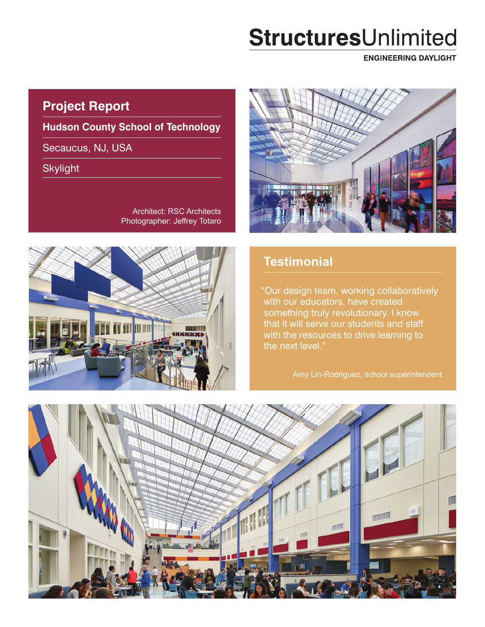# StructuresUnlimited

**ENGINEERING DAYLIGHT** 

## **Project Report**

**Hudson County School of Technology**

Secaucus, NJ, USA

Skylight

Architect: RSC Architects Photographer: Jeffrey Totaro





## **Testimonial**

"Our design team, working collaboratively with our educators, have created something truly revolutionary. I know that it will serve our students and staff with the resources to drive learning to the next level."

Amy Lin-Rodriguez, school superintendent